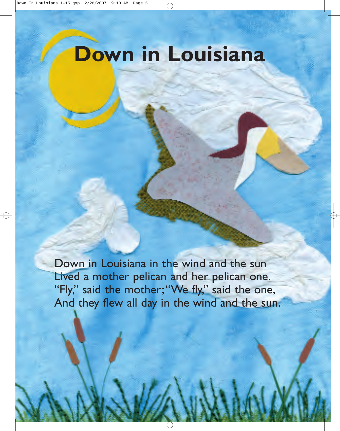## **Down in Louisiana**

Down in Louisiana in the wind and the sun Lived a mother pelican and her pelican one. "Fly," said the mother; "We fly," said the one, And they flew all day in the wind and the sun.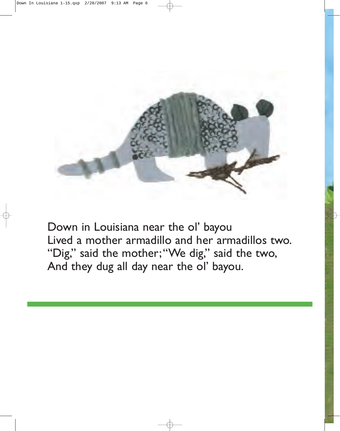

Down in Louisiana near the ol' bayou Lived a mother armadillo and her armadillos two. "Dig," said the mother;"We dig," said the two, And they dug all day near the ol' bayou.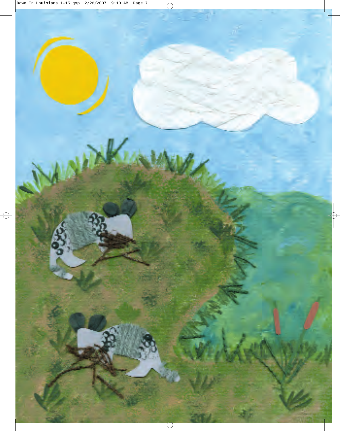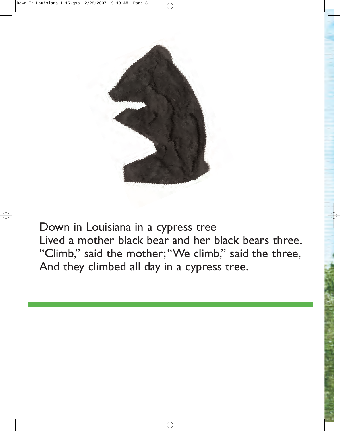

Down in Louisiana in a cypress tree Lived a mother black bear and her black bears three. "Climb," said the mother; "We climb," said the three, And they climbed all day in a cypress tree.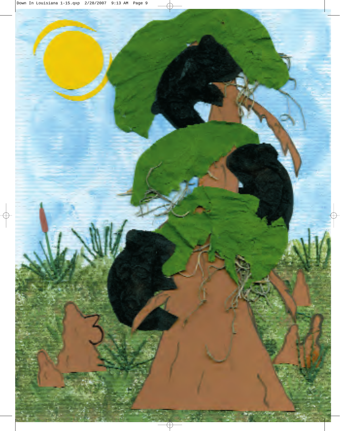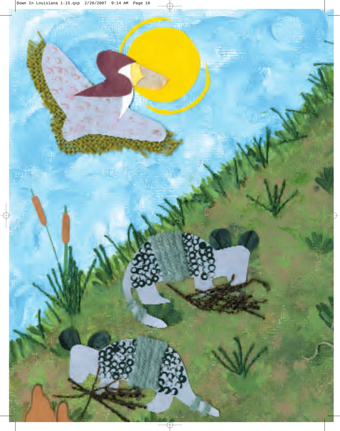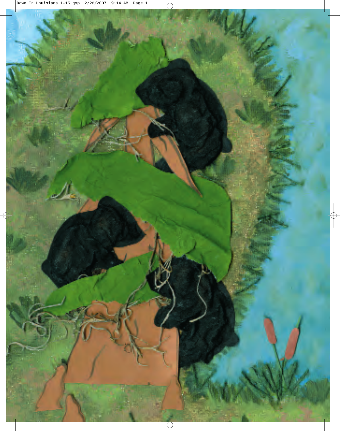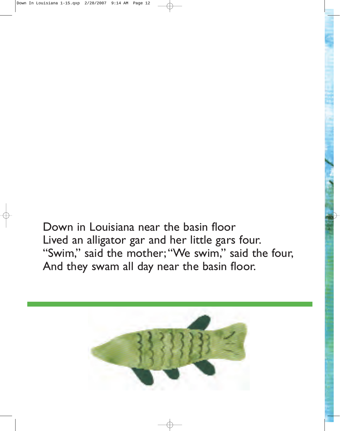Down in Louisiana near the basin floor Lived an alligator gar and her little gars four. "Swim," said the mother; "We swim," said the four, And they swam all day near the basin floor.

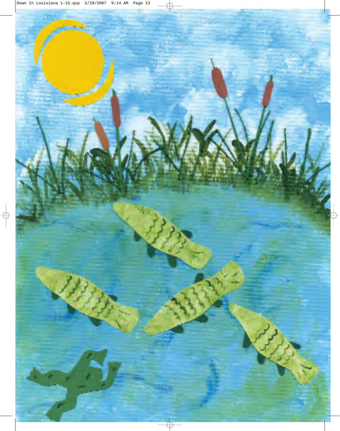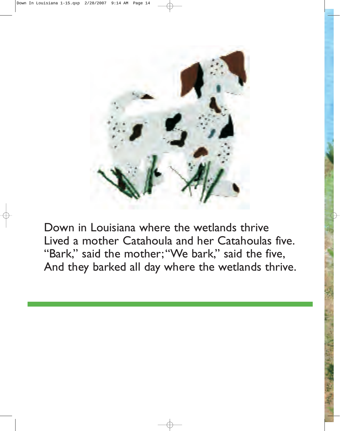

Down in Louisiana where the wetlands thrive Lived a mother Catahoula and her Catahoulas five. "Bark," said the mother; "We bark," said the five, And they barked all day where the wetlands thrive.